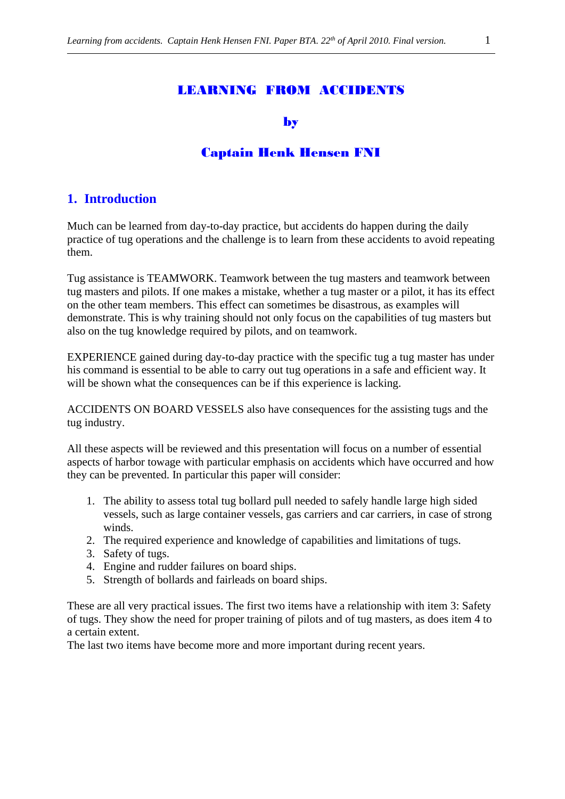#### by

## Captain Henk Hensen FNI

## **1. Introduction**

Much can be learned from day-to-day practice, but accidents do happen during the daily practice of tug operations and the challenge is to learn from these accidents to avoid repeating them.

Tug assistance is TEAMWORK. Teamwork between the tug masters and teamwork between tug masters and pilots. If one makes a mistake, whether a tug master or a pilot, it has its effect on the other team members. This effect can sometimes be disastrous, as examples will demonstrate. This is why training should not only focus on the capabilities of tug masters but also on the tug knowledge required by pilots, and on teamwork.

EXPERIENCE gained during day-to-day practice with the specific tug a tug master has under his command is essential to be able to carry out tug operations in a safe and efficient way. It will be shown what the consequences can be if this experience is lacking.

ACCIDENTS ON BOARD VESSELS also have consequences for the assisting tugs and the tug industry.

All these aspects will be reviewed and this presentation will focus on a number of essential aspects of harbor towage with particular emphasis on accidents which have occurred and how they can be prevented. In particular this paper will consider:

- 1. The ability to assess total tug bollard pull needed to safely handle large high sided vessels, such as large container vessels, gas carriers and car carriers, in case of strong winds.
- 2. The required experience and knowledge of capabilities and limitations of tugs.
- 3. Safety of tugs.
- 4. Engine and rudder failures on board ships.
- 5. Strength of bollards and fairleads on board ships.

These are all very practical issues. The first two items have a relationship with item 3: Safety of tugs. They show the need for proper training of pilots and of tug masters, as does item 4 to a certain extent.

The last two items have become more and more important during recent years.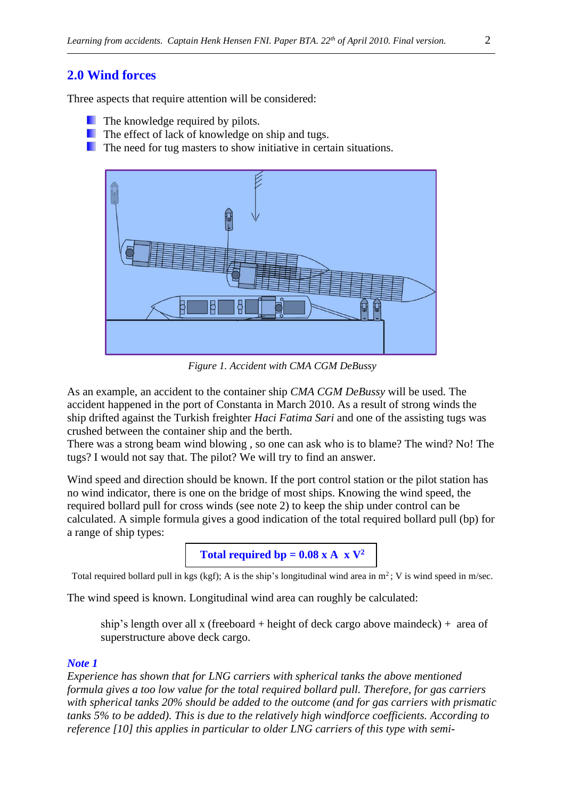## **2.0 Wind forces**

Three aspects that require attention will be considered:

- **The knowledge required by pilots.**
- **The effect of lack of knowledge on ship and tugs.**
- **The need for tug masters to show initiative in certain situations.**



*Figure 1. Accident with CMA CGM DeBussy*

As an example, an accident to the container ship *CMA CGM DeBussy* will be used. The accident happened in the port of Constanta in March 2010. As a result of strong winds the ship drifted against the Turkish freighter *Haci Fatima Sari* and one of the assisting tugs was crushed between the container ship and the berth.

There was a strong beam wind blowing , so one can ask who is to blame? The wind? No! The tugs? I would not say that. The pilot? We will try to find an answer.

Wind speed and direction should be known. If the port control station or the pilot station has no wind indicator, there is one on the bridge of most ships. Knowing the wind speed, the required bollard pull for cross winds (see note 2) to keep the ship under control can be calculated. A simple formula gives a good indication of the total required bollard pull (bp) for a range of ship types:



Total required bollard pull in kgs (kgf); A is the ship's longitudinal wind area in  $m^2$ ; V is wind speed in m/sec.

The wind speed is known. Longitudinal wind area can roughly be calculated:

ship's length over all x (freeboard + height of deck cargo above maindeck) + area of superstructure above deck cargo.

#### *Note 1*

*Experience has shown that for LNG carriers with spherical tanks the above mentioned formula gives a too low value for the total required bollard pull. Therefore, for gas carriers with spherical tanks 20% should be added to the outcome (and for gas carriers with prismatic tanks 5% to be added). This is due to the relatively high windforce coefficients. According to reference [10] this applies in particular to older LNG carriers of this type with semi-*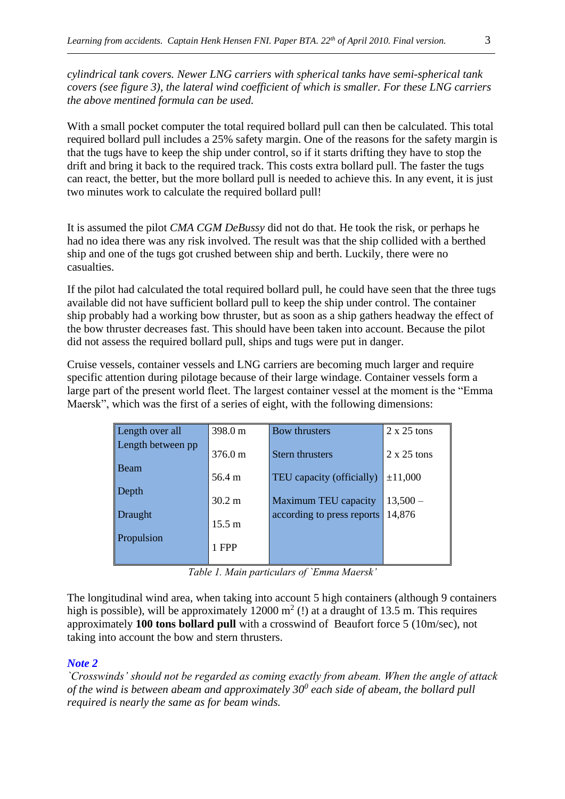*cylindrical tank covers. Newer LNG carriers with spherical tanks have semi-spherical tank covers (see figure 3), the lateral wind coefficient of which is smaller. For these LNG carriers the above mentined formula can be used.* 

With a small pocket computer the total required bollard pull can then be calculated. This total required bollard pull includes a 25% safety margin. One of the reasons for the safety margin is that the tugs have to keep the ship under control, so if it starts drifting they have to stop the drift and bring it back to the required track. This costs extra bollard pull. The faster the tugs can react, the better, but the more bollard pull is needed to achieve this. In any event, it is just two minutes work to calculate the required bollard pull!

It is assumed the pilot *CMA CGM DeBussy* did not do that. He took the risk, or perhaps he had no idea there was any risk involved. The result was that the ship collided with a berthed ship and one of the tugs got crushed between ship and berth. Luckily, there were no casualties.

If the pilot had calculated the total required bollard pull, he could have seen that the three tugs available did not have sufficient bollard pull to keep the ship under control. The container ship probably had a working bow thruster, but as soon as a ship gathers headway the effect of the bow thruster decreases fast. This should have been taken into account. Because the pilot did not assess the required bollard pull, ships and tugs were put in danger.

Cruise vessels, container vessels and LNG carriers are becoming much larger and require specific attention during pilotage because of their large windage. Container vessels form a large part of the present world fleet. The largest container vessel at the moment is the "Emma Maersk", which was the first of a series of eight, with the following dimensions:

| Length over all   | 398.0 m           | Bow thrusters              | $2 \times 25$ tons |
|-------------------|-------------------|----------------------------|--------------------|
| Length between pp | $376.0 \text{ m}$ | Stern thrusters            | $2 \times 25$ tons |
| Beam              | 56.4 m            | TEU capacity (officially)  | ±11,000            |
| Depth             | $30.2 \text{ m}$  | Maximum TEU capacity       | $13,500-$          |
| <b>Draught</b>    | $15.5 \text{ m}$  | according to press reports | 14,876             |
| Propulsion        | 1 FPP             |                            |                    |

*Table 1. Main particulars of `Emma Maersk'*

The longitudinal wind area, when taking into account 5 high containers (although 9 containers high is possible), will be approximately 12000  $m^2$  (!) at a draught of 13.5 m. This requires approximately **100 tons bollard pull** with a crosswind of Beaufort force 5 (10m/sec), not taking into account the bow and stern thrusters.

#### *Note 2*

*`Crosswinds' should not be regarded as coming exactly from abeam. When the angle of attack of the wind is between abeam and approximately 30<sup>0</sup> each side of abeam, the bollard pull required is nearly the same as for beam winds.*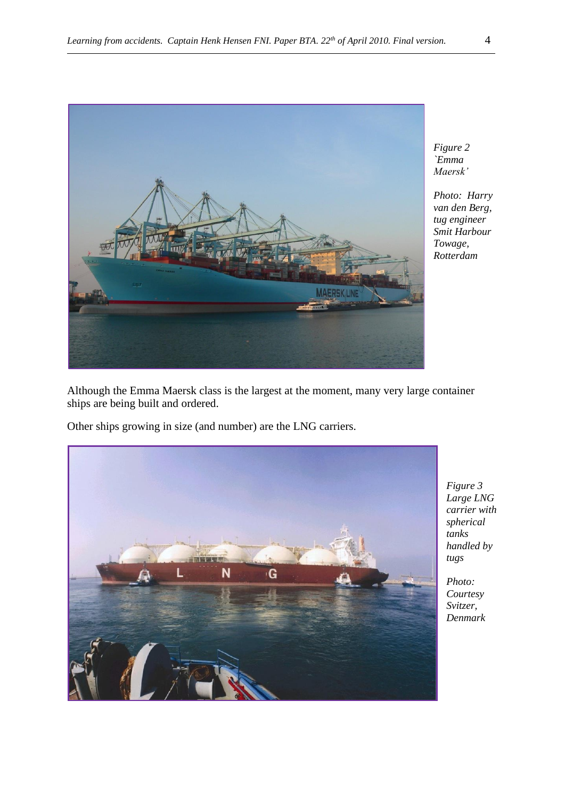

*Figure 2 `Emma Maersk'* 

*Photo: Harry van den Berg, tug engineer Smit Harbour Towage, Rotterdam*

Although the Emma Maersk class is the largest at the moment, many very large container ships are being built and ordered.

Other ships growing in size (and number) are the LNG carriers.



*Figure 3 Large LNG carrier with spherical tanks handled by tugs*

*Photo: Courtesy Svitzer, Denmark*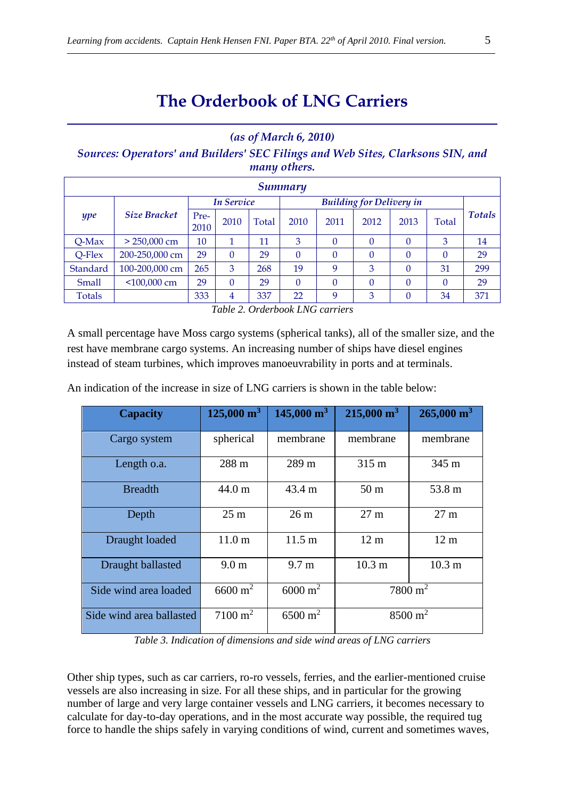# **The Orderbook of LNG Carriers**

## *(as of March 6, 2010)*

*Sources: Operators' and Builders' SEC Filings and Web Sites, Clarksons SIN, and many others.*

| <b>Summary</b> |                     |              |                   |       |                                 |          |          |      |          |               |
|----------------|---------------------|--------------|-------------------|-------|---------------------------------|----------|----------|------|----------|---------------|
|                |                     |              | <b>In Service</b> |       | <b>Building for Delivery in</b> |          |          |      |          |               |
| ype            | <b>Size Bracket</b> | Pre-<br>2010 | 2010              | Total | 2010                            | 2011     | 2012     | 2013 | Total    | <b>Totals</b> |
| $Q$ -Max       | $> 250,000$ cm      | 10           |                   | 11    | 3                               | $\theta$ | $\theta$ |      | 3        | 14            |
| Q-Flex         | 200-250,000 cm      | 29           | $\theta$          | 29    | $\theta$                        | $\theta$ | $\theta$ |      | $\theta$ | 29            |
| Standard       | 100-200,000 cm      | 265          | 3                 | 268   | 19                              | 9        | 3        |      | 31       | 299           |
| Small          | $<$ 100,000 cm      | 29           | $\theta$          | 29    | $\theta$                        | $\theta$ | $\theta$ |      | $\theta$ | 29            |
| <b>Totals</b>  |                     | 333          | 4                 | 337   | 22                              | 9        | 3        |      | 34       | 371           |

*Table 2. Orderbook LNG carriers*

A small percentage have Moss cargo systems (spherical tanks), all of the smaller size, and the rest have membrane cargo systems. An increasing number of ships have diesel engines instead of steam turbines, which improves manoeuvrability in ports and at terminals.

| <b>Capacity</b>          | $125,000 \text{ m}^3$ | $145,000 \text{ m}^3$ | $215,000 \text{ m}^3$ | $265,000 \text{ m}^3$ |  |
|--------------------------|-----------------------|-----------------------|-----------------------|-----------------------|--|
| Cargo system             | spherical             | membrane              | membrane              | membrane              |  |
| Length o.a.              | 288 m                 | 289 m<br>315 m        |                       | 345 m                 |  |
| <b>Breadth</b>           | 44.0 m                | $43.4 \text{ m}$      | 50 <sub>m</sub>       | 53.8 m                |  |
| Depth                    | 25 <sub>m</sub>       | 26 <sub>m</sub>       | $27 \text{ m}$        | 27 <sub>m</sub>       |  |
| Draught loaded           | 11.0 <sub>m</sub>     | $11.5 \text{ m}$      | 12 <sub>m</sub>       | 12 <sub>m</sub>       |  |
| Draught ballasted        | 9.0 <sub>m</sub>      | $9.7 \text{ m}$       | 10.3 <sub>m</sub>     | 10.3 <sub>m</sub>     |  |
| Side wind area loaded    | $6600 \text{ m}^2$    | $6000 \text{ m}^2$    | $7800 \text{ m}^2$    |                       |  |
| Side wind area ballasted | $7100 \text{ m}^2$    | $6500 \text{ m}^2$    | $8500 \text{ m}^2$    |                       |  |

An indication of the increase in size of LNG carriers is shown in the table below:

*Table 3. Indication of dimensions and side wind areas of LNG carriers*

Other ship types, such as car carriers, ro-ro vessels, ferries, and the earlier-mentioned cruise vessels are also increasing in size. For all these ships, and in particular for the growing number of large and very large container vessels and LNG carriers, it becomes necessary to calculate for day-to-day operations, and in the most accurate way possible, the required tug force to handle the ships safely in varying conditions of wind, current and sometimes waves,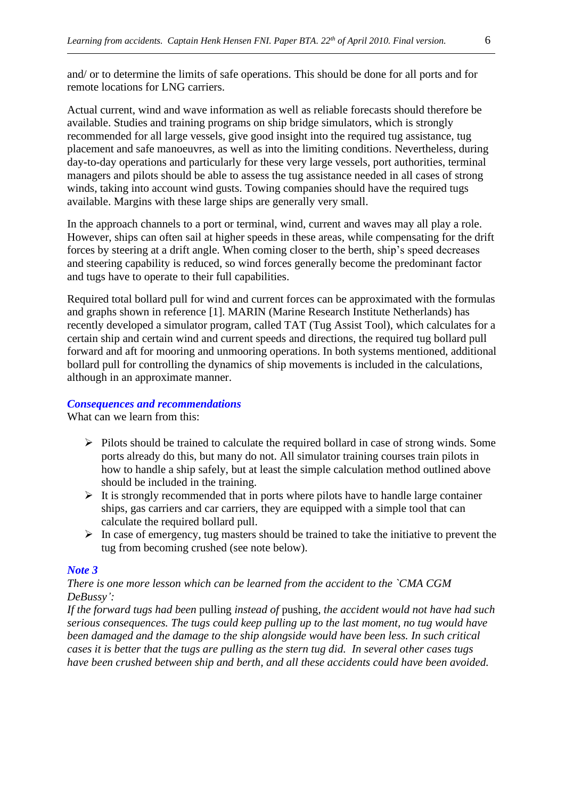and/ or to determine the limits of safe operations. This should be done for all ports and for remote locations for LNG carriers.

Actual current, wind and wave information as well as reliable forecasts should therefore be available. Studies and training programs on ship bridge simulators, which is strongly recommended for all large vessels, give good insight into the required tug assistance, tug placement and safe manoeuvres, as well as into the limiting conditions. Nevertheless, during day-to-day operations and particularly for these very large vessels, port authorities, terminal managers and pilots should be able to assess the tug assistance needed in all cases of strong winds, taking into account wind gusts. Towing companies should have the required tugs available. Margins with these large ships are generally very small.

In the approach channels to a port or terminal, wind, current and waves may all play a role. However, ships can often sail at higher speeds in these areas, while compensating for the drift forces by steering at a drift angle. When coming closer to the berth, ship's speed decreases and steering capability is reduced, so wind forces generally become the predominant factor and tugs have to operate to their full capabilities.

Required total bollard pull for wind and current forces can be approximated with the formulas and graphs shown in reference [1]. MARIN (Marine Research Institute Netherlands) has recently developed a simulator program, called TAT (Tug Assist Tool), which calculates for a certain ship and certain wind and current speeds and directions, the required tug bollard pull forward and aft for mooring and unmooring operations. In both systems mentioned, additional bollard pull for controlling the dynamics of ship movements is included in the calculations, although in an approximate manner.

#### *Consequences and recommendations*

What can we learn from this:

- ➢ Pilots should be trained to calculate the required bollard in case of strong winds. Some ports already do this, but many do not. All simulator training courses train pilots in how to handle a ship safely, but at least the simple calculation method outlined above should be included in the training.
- $\triangleright$  It is strongly recommended that in ports where pilots have to handle large container ships, gas carriers and car carriers, they are equipped with a simple tool that can calculate the required bollard pull.
- $\triangleright$  In case of emergency, tug masters should be trained to take the initiative to prevent the tug from becoming crushed (see note below).

#### *Note 3*

#### *There is one more lesson which can be learned from the accident to the `CMA CGM DeBussy':*

*If the forward tugs had been* pulling *instead of* pushing*, the accident would not have had such serious consequences. The tugs could keep pulling up to the last moment, no tug would have been damaged and the damage to the ship alongside would have been less. In such critical cases it is better that the tugs are pulling as the stern tug did. In several other cases tugs have been crushed between ship and berth, and all these accidents could have been avoided.*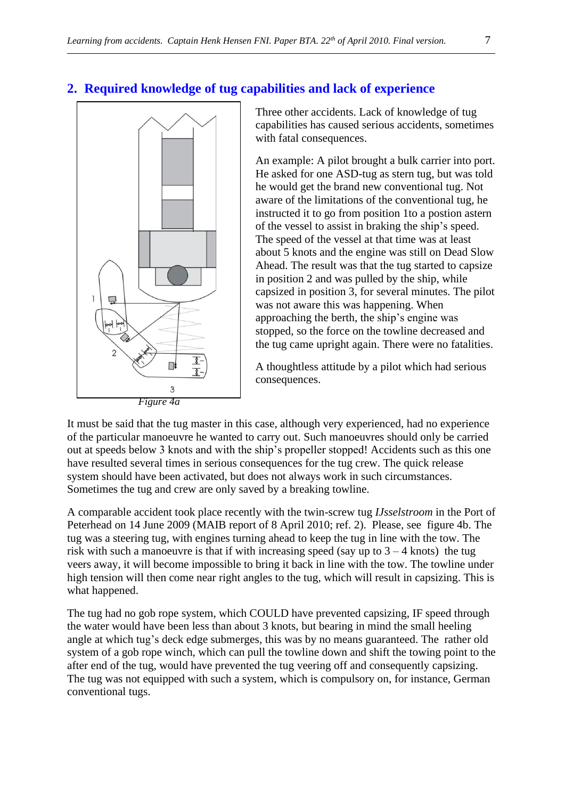# **2. Required knowledge of tug capabilities and lack of experience**



Three other accidents. Lack of knowledge of tug capabilities has caused serious accidents, sometimes with fatal consequences.

An example: A pilot brought a bulk carrier into port. He asked for one ASD-tug as stern tug, but was told he would get the brand new conventional tug. Not aware of the limitations of the conventional tug, he instructed it to go from position 1to a postion astern of the vessel to assist in braking the ship's speed. The speed of the vessel at that time was at least about 5 knots and the engine was still on Dead Slow Ahead. The result was that the tug started to capsize in position 2 and was pulled by the ship, while capsized in position 3, for several minutes. The pilot was not aware this was happening. When approaching the berth, the ship's engine was stopped, so the force on the towline decreased and the tug came upright again. There were no fatalities.

A thoughtless attitude by a pilot which had serious consequences.

It must be said that the tug master in this case, although very experienced, had no experience of the particular manoeuvre he wanted to carry out. Such manoeuvres should only be carried out at speeds below 3 knots and with the ship's propeller stopped! Accidents such as this one have resulted several times in serious consequences for the tug crew. The quick release system should have been activated, but does not always work in such circumstances. Sometimes the tug and crew are only saved by a breaking towline.

A comparable accident took place recently with the twin-screw tug *IJsselstroom* in the Port of Peterhead on 14 June 2009 (MAIB report of 8 April 2010; ref. 2). Please, see figure 4b. The tug was a steering tug, with engines turning ahead to keep the tug in line with the tow. The risk with such a manoeuvre is that if with increasing speed (say up to  $3 - 4$  knots) the tug veers away, it will become impossible to bring it back in line with the tow. The towline under high tension will then come near right angles to the tug, which will result in capsizing. This is what happened.

The tug had no gob rope system, which COULD have prevented capsizing, IF speed through the water would have been less than about 3 knots, but bearing in mind the small heeling angle at which tug's deck edge submerges, this was by no means guaranteed. The rather old system of a gob rope winch, which can pull the towline down and shift the towing point to the after end of the tug, would have prevented the tug veering off and consequently capsizing. The tug was not equipped with such a system, which is compulsory on, for instance, German conventional tugs.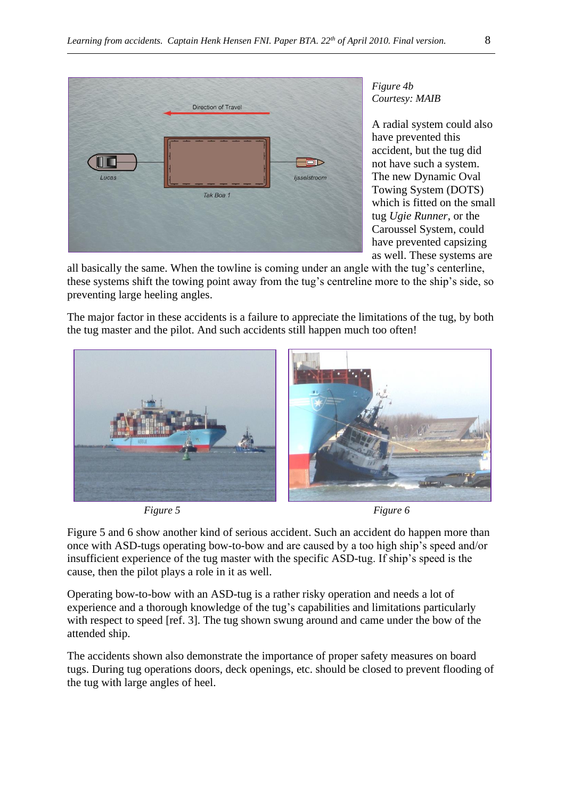

*Figure 4b Courtesy: MAIB*

A radial system could also have prevented this accident, but the tug did not have such a system. The new Dynamic Oval Towing System (DOTS) which is fitted on the small tug *Ugie Runner*, or the Caroussel System, could have prevented capsizing as well. These systems are

all basically the same. When the towline is coming under an angle with the tug's centerline, these systems shift the towing point away from the tug's centreline more to the ship's side, so preventing large heeling angles.

The major factor in these accidents is a failure to appreciate the limitations of the tug, by both the tug master and the pilot. And such accidents still happen much too often!



*Figure 5* Figure 6

Figure 5 and 6 show another kind of serious accident. Such an accident do happen more than once with ASD-tugs operating bow-to-bow and are caused by a too high ship's speed and/or insufficient experience of the tug master with the specific ASD-tug. If ship's speed is the cause, then the pilot plays a role in it as well.

Operating bow-to-bow with an ASD-tug is a rather risky operation and needs a lot of experience and a thorough knowledge of the tug's capabilities and limitations particularly with respect to speed [ref. 3]. The tug shown swung around and came under the bow of the attended ship.

The accidents shown also demonstrate the importance of proper safety measures on board tugs. During tug operations doors, deck openings, etc. should be closed to prevent flooding of the tug with large angles of heel.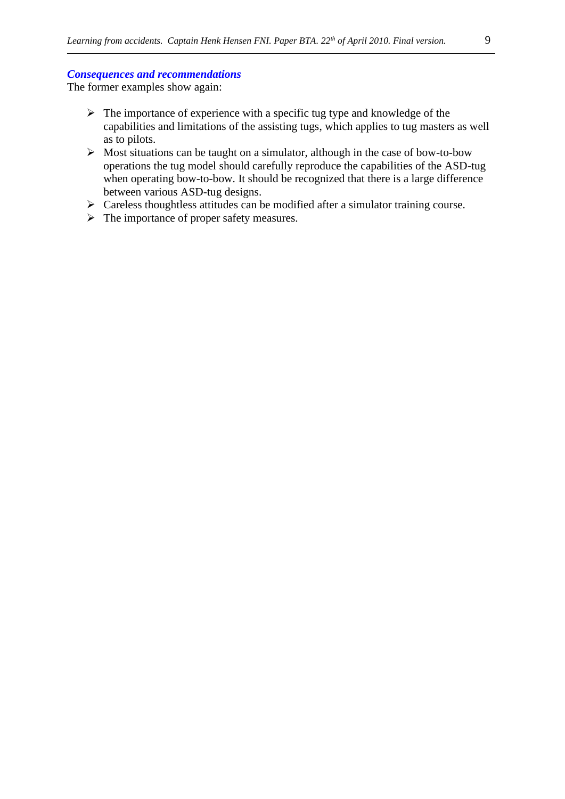#### *Consequences and recommendations*

The former examples show again:

- ➢ The importance of experience with a specific tug type and knowledge of the capabilities and limitations of the assisting tugs, which applies to tug masters as well as to pilots.
- $\triangleright$  Most situations can be taught on a simulator, although in the case of bow-to-bow operations the tug model should carefully reproduce the capabilities of the ASD-tug when operating bow-to-bow. It should be recognized that there is a large difference between various ASD-tug designs.
- $\triangleright$  Careless thoughtless attitudes can be modified after a simulator training course.
- ➢ The importance of proper safety measures.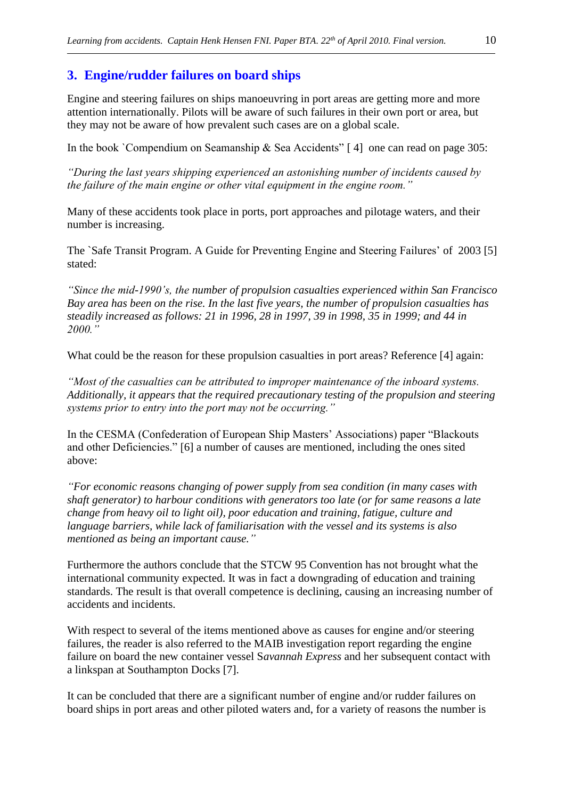# **3. Engine/rudder failures on board ships**

Engine and steering failures on ships manoeuvring in port areas are getting more and more attention internationally. Pilots will be aware of such failures in their own port or area, but they may not be aware of how prevalent such cases are on a global scale.

In the book `Compendium on Seamanship & Sea Accidents'  $[4]$  one can read on page 305:

*"During the last years shipping experienced an astonishing number of incidents caused by the failure of the main engine or other vital equipment in the engine room."*

Many of these accidents took place in ports, port approaches and pilotage waters, and their number is increasing.

The `Safe Transit Program. A Guide for Preventing Engine and Steering Failures' of 2003 [5] stated:

*"Since the mid-1990's, the number of propulsion casualties experienced within San Francisco Bay area has been on the rise. In the last five years, the number of propulsion casualties has steadily increased as follows: 21 in 1996, 28 in 1997, 39 in 1998, 35 in 1999; and 44 in 2000."* 

What could be the reason for these propulsion casualties in port areas? Reference [4] again:

*"Most of the casualties can be attributed to improper maintenance of the inboard systems. Additionally, it appears that the required precautionary testing of the propulsion and steering systems prior to entry into the port may not be occurring."*

In the CESMA (Confederation of European Ship Masters' Associations) paper "Blackouts and other Deficiencies." [6] a number of causes are mentioned, including the ones sited above:

*"For economic reasons changing of power supply from sea condition (in many cases with shaft generator) to harbour conditions with generators too late (or for same reasons a late change from heavy oil to light oil), poor education and training, fatigue, culture and language barriers, while lack of familiarisation with the vessel and its systems is also mentioned as being an important cause."*

Furthermore the authors conclude that the STCW 95 Convention has not brought what the international community expected. It was in fact a downgrading of education and training standards. The result is that overall competence is declining, causing an increasing number of accidents and incidents.

With respect to several of the items mentioned above as causes for engine and/or steering failures, the reader is also referred to the MAIB investigation report regarding the engine failure on board the new container vessel S*avannah Express* and her subsequent contact with a linkspan at Southampton Docks [7].

It can be concluded that there are a significant number of engine and/or rudder failures on board ships in port areas and other piloted waters and, for a variety of reasons the number is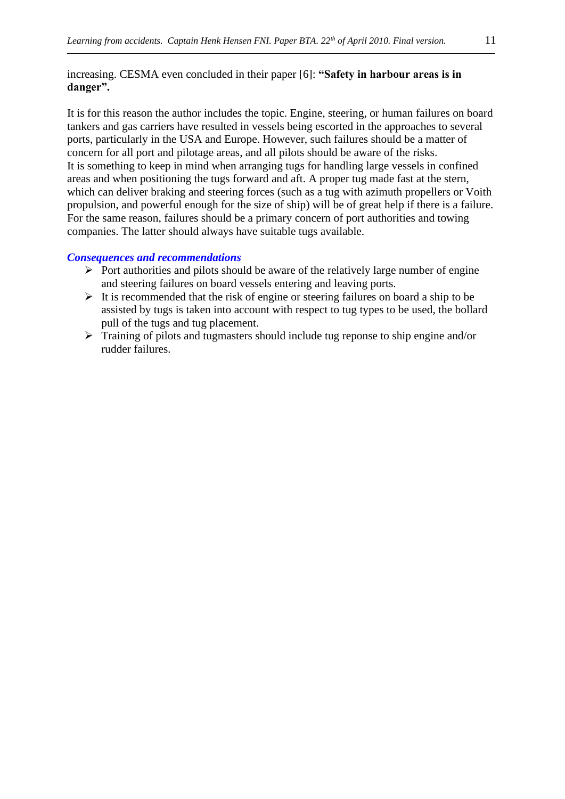## increasing. CESMA even concluded in their paper [6]: **"Safety in harbour areas is in danger".**

It is for this reason the author includes the topic. Engine, steering, or human failures on board tankers and gas carriers have resulted in vessels being escorted in the approaches to several ports, particularly in the USA and Europe. However, such failures should be a matter of concern for all port and pilotage areas, and all pilots should be aware of the risks. It is something to keep in mind when arranging tugs for handling large vessels in confined areas and when positioning the tugs forward and aft. A proper tug made fast at the stern, which can deliver braking and steering forces (such as a tug with azimuth propellers or Voith propulsion, and powerful enough for the size of ship) will be of great help if there is a failure. For the same reason, failures should be a primary concern of port authorities and towing companies. The latter should always have suitable tugs available.

#### *Consequences and recommendations*

- $\triangleright$  Port authorities and pilots should be aware of the relatively large number of engine and steering failures on board vessels entering and leaving ports.
- $\triangleright$  It is recommended that the risk of engine or steering failures on board a ship to be assisted by tugs is taken into account with respect to tug types to be used, the bollard pull of the tugs and tug placement.
- ➢ Training of pilots and tugmasters should include tug reponse to ship engine and/or rudder failures.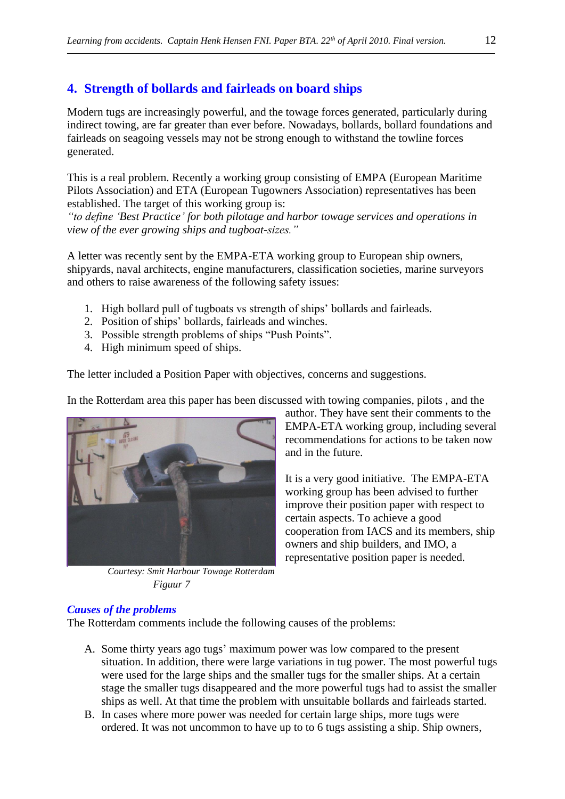# **4. Strength of bollards and fairleads on board ships**

Modern tugs are increasingly powerful, and the towage forces generated, particularly during indirect towing, are far greater than ever before. Nowadays, bollards, bollard foundations and fairleads on seagoing vessels may not be strong enough to withstand the towline forces generated.

This is a real problem. Recently a working group consisting of EMPA (European Maritime Pilots Association) and ETA (European Tugowners Association) representatives has been established. The target of this working group is:

*"to define 'Best Practice' for both pilotage and harbor towage services and operations in view of the ever growing ships and tugboat-sizes."* 

A letter was recently sent by the EMPA-ETA working group to European ship owners, shipyards, naval architects, engine manufacturers, classification societies, marine surveyors and others to raise awareness of the following safety issues:

- 1. High bollard pull of tugboats vs strength of ships' bollards and fairleads.
- 2. Position of ships' bollards, fairleads and winches.
- 3. Possible strength problems of ships "Push Points".
- 4. High minimum speed of ships.

The letter included a Position Paper with objectives, concerns and suggestions.

In the Rotterdam area this paper has been discussed with towing companies, pilots , and the



 *Courtesy: Smit Harbour Towage Rotterdam Figuur 7*

author. They have sent their comments to the EMPA-ETA working group, including several recommendations for actions to be taken now and in the future.

It is a very good initiative. The EMPA-ETA working group has been advised to further improve their position paper with respect to certain aspects. To achieve a good cooperation from IACS and its members, ship owners and ship builders, and IMO, a representative position paper is needed.

#### *Causes of the problems*

The Rotterdam comments include the following causes of the problems:

- A. Some thirty years ago tugs' maximum power was low compared to the present situation. In addition, there were large variations in tug power. The most powerful tugs were used for the large ships and the smaller tugs for the smaller ships. At a certain stage the smaller tugs disappeared and the more powerful tugs had to assist the smaller ships as well. At that time the problem with unsuitable bollards and fairleads started.
- B. In cases where more power was needed for certain large ships, more tugs were ordered. It was not uncommon to have up to to 6 tugs assisting a ship. Ship owners,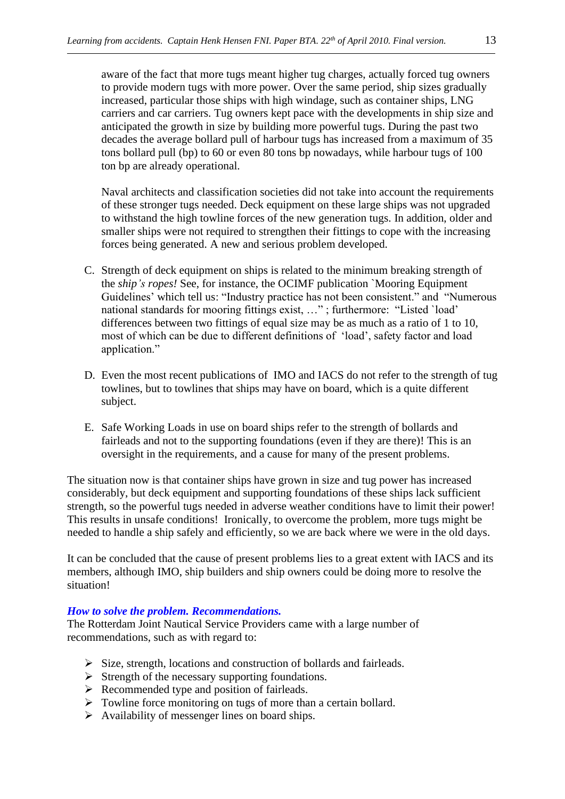aware of the fact that more tugs meant higher tug charges, actually forced tug owners to provide modern tugs with more power. Over the same period, ship sizes gradually increased, particular those ships with high windage, such as container ships, LNG carriers and car carriers. Tug owners kept pace with the developments in ship size and anticipated the growth in size by building more powerful tugs. During the past two decades the average bollard pull of harbour tugs has increased from a maximum of 35 tons bollard pull (bp) to 60 or even 80 tons bp nowadays, while harbour tugs of 100 ton bp are already operational.

Naval architects and classification societies did not take into account the requirements of these stronger tugs needed. Deck equipment on these large ships was not upgraded to withstand the high towline forces of the new generation tugs. In addition, older and smaller ships were not required to strengthen their fittings to cope with the increasing forces being generated. A new and serious problem developed.

- C. Strength of deck equipment on ships is related to the minimum breaking strength of the *ship's ropes!* See, for instance, the OCIMF publication `Mooring Equipment Guidelines' which tell us: "Industry practice has not been consistent." and "Numerous national standards for mooring fittings exist, …" ; furthermore: "Listed `load' differences between two fittings of equal size may be as much as a ratio of 1 to 10, most of which can be due to different definitions of 'load', safety factor and load application."
- D. Even the most recent publications of IMO and IACS do not refer to the strength of tug towlines, but to towlines that ships may have on board, which is a quite different subject.
- E. Safe Working Loads in use on board ships refer to the strength of bollards and fairleads and not to the supporting foundations (even if they are there)! This is an oversight in the requirements, and a cause for many of the present problems.

The situation now is that container ships have grown in size and tug power has increased considerably, but deck equipment and supporting foundations of these ships lack sufficient strength, so the powerful tugs needed in adverse weather conditions have to limit their power! This results in unsafe conditions! Ironically, to overcome the problem, more tugs might be needed to handle a ship safely and efficiently, so we are back where we were in the old days.

It can be concluded that the cause of present problems lies to a great extent with IACS and its members, although IMO, ship builders and ship owners could be doing more to resolve the situation!

## *How to solve the problem. Recommendations.*

The Rotterdam Joint Nautical Service Providers came with a large number of recommendations, such as with regard to:

- ➢ Size, strength, locations and construction of bollards and fairleads.
- ➢ Strength of the necessary supporting foundations.
- ➢ Recommended type and position of fairleads.
- ➢ Towline force monitoring on tugs of more than a certain bollard.
- $\triangleright$  Availability of messenger lines on board ships.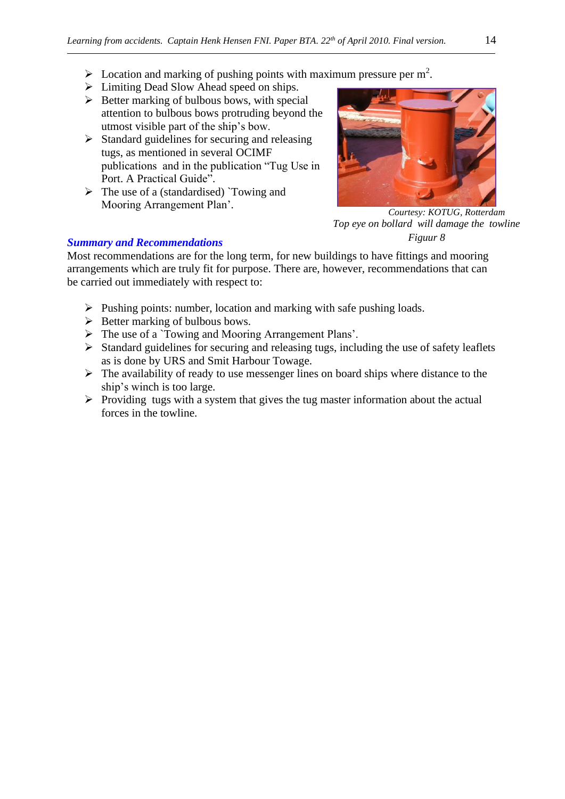- $\triangleright$  Location and marking of pushing points with maximum pressure per m<sup>2</sup>.
- ➢ Limiting Dead Slow Ahead speed on ships.
- $\triangleright$  Better marking of bulbous bows, with special attention to bulbous bows protruding beyond the utmost visible part of the ship's bow.
- $\triangleright$  Standard guidelines for securing and releasing tugs, as mentioned in several OCIMF publications and in the publication "Tug Use in Port. A Practical Guide".
- $\triangleright$  The use of a (standardised) `Towing and Mooring Arrangement Plan'.



 *Courtesy: KOTUG, Rotterdam Top eye on bollard will damage the towline Figuur 8*

## *Summary and Recommendations*

Most recommendations are for the long term, for new buildings to have fittings and mooring arrangements which are truly fit for purpose. There are, however, recommendations that can be carried out immediately with respect to:

- ➢ Pushing points: number, location and marking with safe pushing loads.
- $\triangleright$  Better marking of bulbous bows.
- ➢ The use of a `Towing and Mooring Arrangement Plans'.
- ➢ Standard guidelines for securing and releasing tugs, including the use of safety leaflets as is done by URS and Smit Harbour Towage.
- ➢ The availability of ready to use messenger lines on board ships where distance to the ship's winch is too large.
- $\triangleright$  Providing tugs with a system that gives the tug master information about the actual forces in the towline.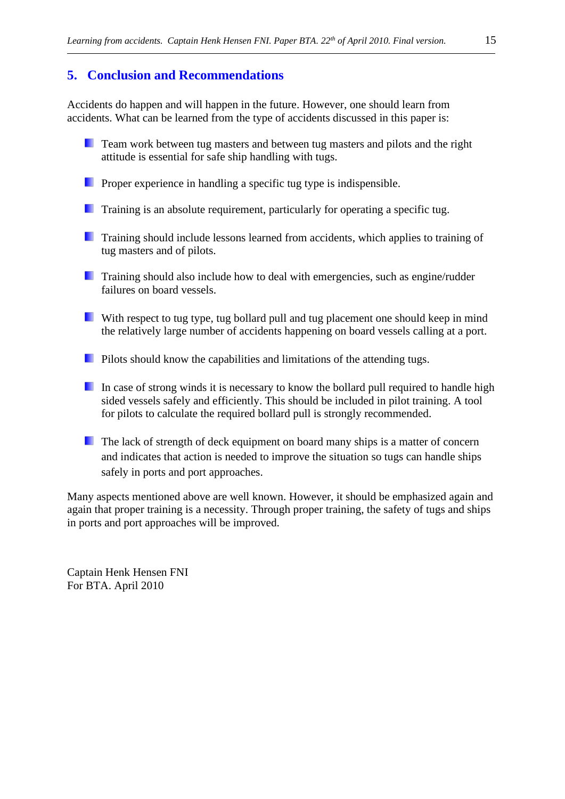# **5. Conclusion and Recommendations**

Accidents do happen and will happen in the future. However, one should learn from accidents. What can be learned from the type of accidents discussed in this paper is:

- **The Team work between tug masters and between tug masters and pilots and the right** attitude is essential for safe ship handling with tugs.
- **Proper experience in handling a specific tug type is indispensible.**
- **Training is an absolute requirement, particularly for operating a specific tug.**
- **Training should include lessons learned from accidents, which applies to training of** tug masters and of pilots.
- **Training should also include how to deal with emergencies, such as engine/rudder** failures on board vessels.
- With respect to tug type, tug bollard pull and tug placement one should keep in mind the relatively large number of accidents happening on board vessels calling at a port.
- **Pilots should know the capabilities and limitations of the attending tugs.**
- In case of strong winds it is necessary to know the bollard pull required to handle high sided vessels safely and efficiently. This should be included in pilot training. A tool for pilots to calculate the required bollard pull is strongly recommended.
- The lack of strength of deck equipment on board many ships is a matter of concern and indicates that action is needed to improve the situation so tugs can handle ships safely in ports and port approaches.

Many aspects mentioned above are well known. However, it should be emphasized again and again that proper training is a necessity. Through proper training, the safety of tugs and ships in ports and port approaches will be improved.

Captain Henk Hensen FNI For BTA. April 2010